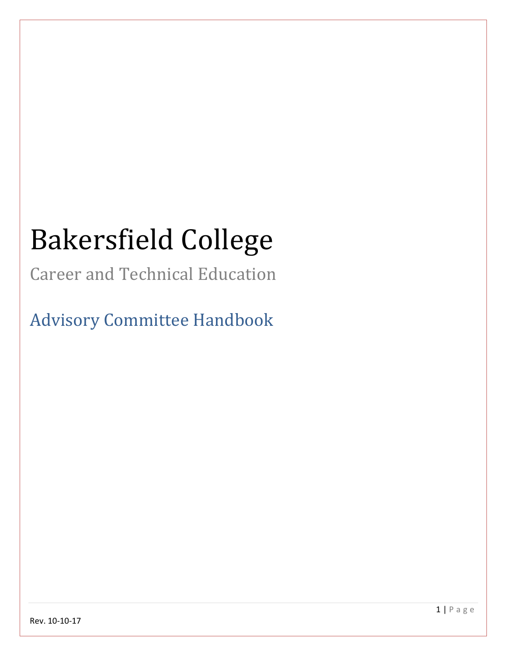# Bakersfield College

Career and Technical Education

Advisory Committee Handbook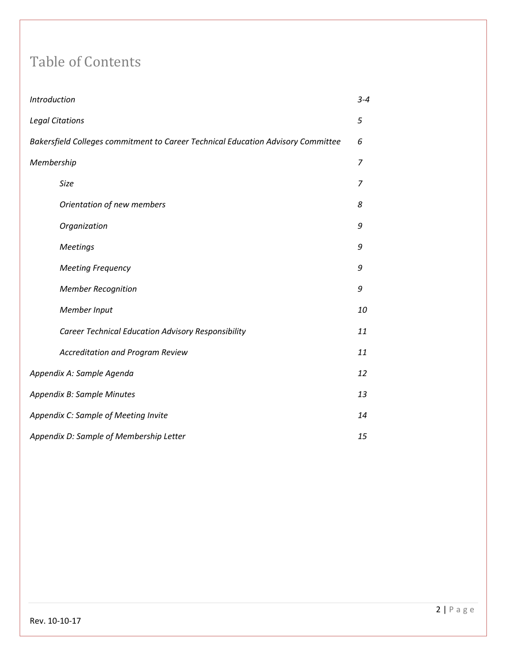## Table of Contents

| Introduction                                                                     | $3 - 4$        |
|----------------------------------------------------------------------------------|----------------|
| <b>Legal Citations</b>                                                           | 5              |
| Bakersfield Colleges commitment to Career Technical Education Advisory Committee | 6              |
| Membership                                                                       | $\overline{7}$ |
| Size                                                                             | 7              |
| Orientation of new members                                                       | 8              |
| Organization                                                                     | 9              |
| <b>Meetings</b>                                                                  | 9              |
| <b>Meeting Frequency</b>                                                         | 9              |
| <b>Member Recognition</b>                                                        | 9              |
| Member Input                                                                     | 10             |
| <b>Career Technical Education Advisory Responsibility</b>                        | 11             |
| <b>Accreditation and Program Review</b>                                          | 11             |
| Appendix A: Sample Agenda                                                        | 12             |
| Appendix B: Sample Minutes                                                       | 13             |
| Appendix C: Sample of Meeting Invite                                             | 14             |
| Appendix D: Sample of Membership Letter                                          | 15             |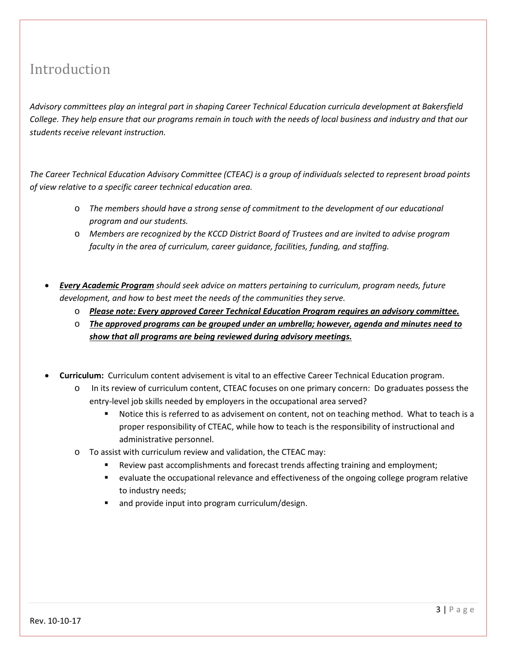## Introduction

*Advisory committees play an integral part in shaping Career Technical Education curricula development at Bakersfield College. They help ensure that our programs remain in touch with the needs of local business and industry and that our students receive relevant instruction.* 

*The Career Technical Education Advisory Committee (CTEAC) is a group of individuals selected to represent broad points of view relative to a specific career technical education area.* 

- o *The members should have a strong sense of commitment to the development of our educational program and our students.*
- o *Members are recognized by the KCCD District Board of Trustees and are invited to advise program faculty in the area of curriculum, career guidance, facilities, funding, and staffing.*
- *Every Academic Program should seek advice on matters pertaining to curriculum, program needs, future development, and how to best meet the needs of the communities they serve.* 
	- o *Please note: Every approved Career Technical Education Program requires an advisory committee.*
	- o *The approved programs can be grouped under an umbrella; however, agenda and minutes need to show that all programs are being reviewed during advisory meetings.*
- **Curriculum:** Curriculum content advisement is vital to an effective Career Technical Education program.
	- o In its review of curriculum content, CTEAC focuses on one primary concern: Do graduates possess the entry-level job skills needed by employers in the occupational area served?
		- Notice this is referred to as advisement on content, not on teaching method. What to teach is a proper responsibility of CTEAC, while how to teach is the responsibility of instructional and administrative personnel.
	- o To assist with curriculum review and validation, the CTEAC may:
		- Review past accomplishments and forecast trends affecting training and employment;
		- evaluate the occupational relevance and effectiveness of the ongoing college program relative to industry needs;
		- and provide input into program curriculum/design.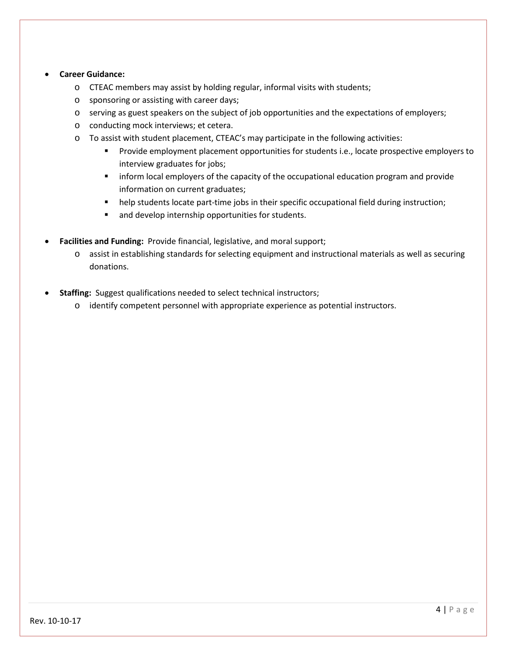#### • **Career Guidance:**

- o CTEAC members may assist by holding regular, informal visits with students;
- o sponsoring or assisting with career days;
- o serving as guest speakers on the subject of job opportunities and the expectations of employers;
- o conducting mock interviews; et cetera.
- $\circ$  To assist with student placement, CTEAC's may participate in the following activities:
	- **Provide employment placement opportunities for students i.e., locate prospective employers to** interview graduates for jobs;
	- **Inform local employers of the capacity of the occupational education program and provide** information on current graduates;
	- help students locate part-time jobs in their specific occupational field during instruction;
	- **and develop internship opportunities for students.**
- **Facilities and Funding:** Provide financial, legislative, and moral support;
	- o assist in establishing standards for selecting equipment and instructional materials as well as securing donations.
- **Staffing:** Suggest qualifications needed to select technical instructors;
	- o identify competent personnel with appropriate experience as potential instructors.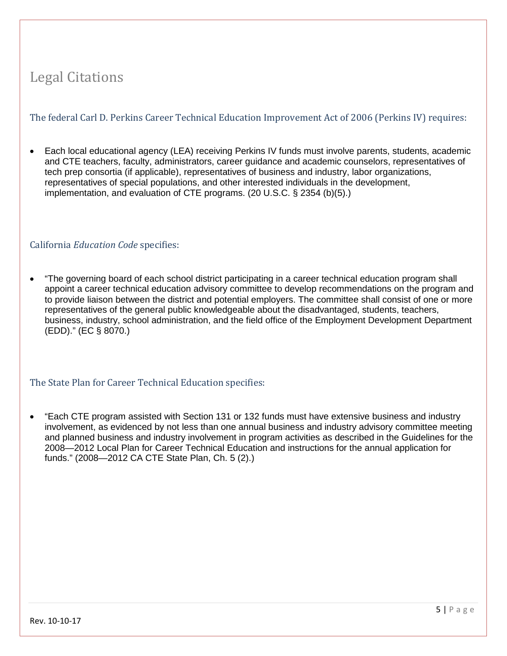## Legal Citations

#### The federal Carl D. Perkins Career Technical Education Improvement Act of 2006 (Perkins IV) requires:

• Each local educational agency (LEA) receiving Perkins IV funds must involve parents, students, academic and CTE teachers, faculty, administrators, career guidance and academic counselors, representatives of tech prep consortia (if applicable), representatives of business and industry, labor organizations, representatives of special populations, and other interested individuals in the development, implementation, and evaluation of CTE programs. (20 U.S.C. § 2354 (b)(5).)

#### California *Education Code* specifies:

• "The governing board of each school district participating in a career technical education program shall appoint a career technical education advisory committee to develop recommendations on the program and to provide liaison between the district and potential employers. The committee shall consist of one or more representatives of the general public knowledgeable about the disadvantaged, students, teachers, business, industry, school administration, and the field office of the Employment Development Department (EDD)." (EC § 8070.)

#### The State Plan for Career Technical Education specifies:

• "Each CTE program assisted with Section 131 or 132 funds must have extensive business and industry involvement, as evidenced by not less than one annual business and industry advisory committee meeting and planned business and industry involvement in program activities as described in the Guidelines for the 2008—2012 Local Plan for Career Technical Education and instructions for the annual application for funds." (2008—2012 CA CTE State Plan, Ch. 5 (2).)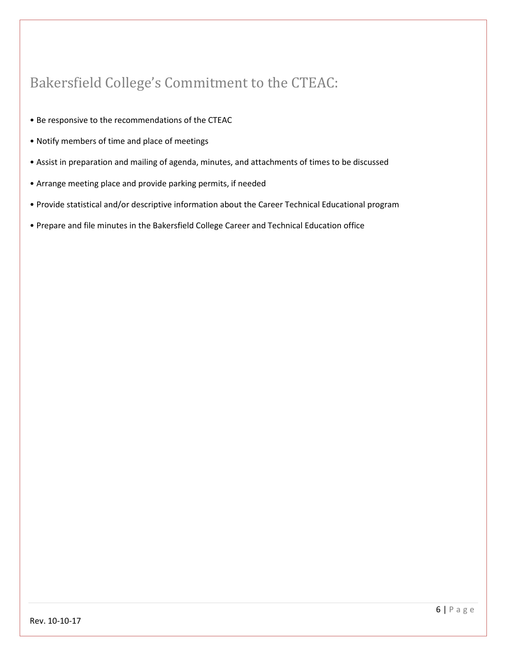## Bakersfield College's Commitment to the CTEAC:

- Be responsive to the recommendations of the CTEAC
- Notify members of time and place of meetings
- Assist in preparation and mailing of agenda, minutes, and attachments of times to be discussed
- Arrange meeting place and provide parking permits, if needed
- Provide statistical and/or descriptive information about the Career Technical Educational program
- Prepare and file minutes in the Bakersfield College Career and Technical Education office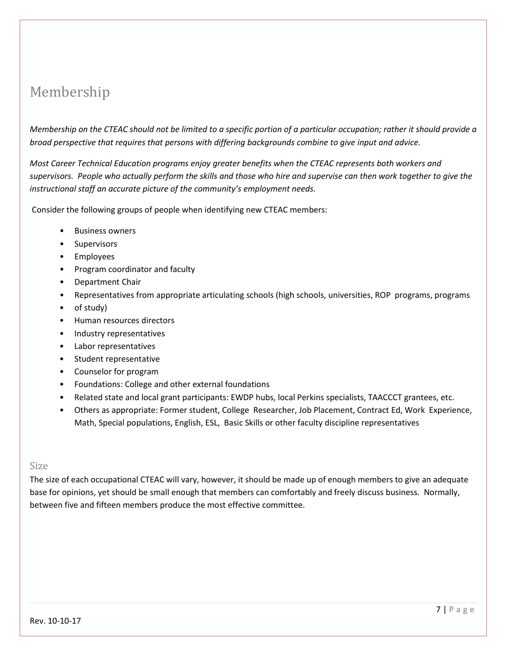## Membership

*Membership on the CTEAC should not be limited to a specific portion of a particular occupation; rather it should provide a broad perspective that requires that persons with differing backgrounds combine to give input and advice.* 

*Most Career Technical Education programs enjoy greater benefits when the CTEAC represents both workers and supervisors. People who actually perform the skills and those who hire and supervise can then work together to give the instructional staff an accurate picture of the community's employment needs.* 

Consider the following groups of people when identifying new CTEAC members:

- Business owners
- Supervisors
- Employees
- Program coordinator and faculty
- Department Chair
- Representatives from appropriate articulating schools (high schools, universities, ROP programs, programs
- of study)
- Human resources directors
- Industry representatives
- Labor representatives
- Student representative
- Counselor for program
- Foundations: College and other external foundations
- Related state and local grant participants: EWDP hubs, local Perkins specialists, TAACCCT grantees, etc.
- Others as appropriate: Former student, College Researcher, Job Placement, Contract Ed, Work Experience, Math, Special populations, English, ESL, Basic Skills or other faculty discipline representatives

#### Size

The size of each occupational CTEAC will vary, however, it should be made up of enough members to give an adequate base for opinions, yet should be small enough that members can comfortably and freely discuss business. Normally, between five and fifteen members produce the most effective committee.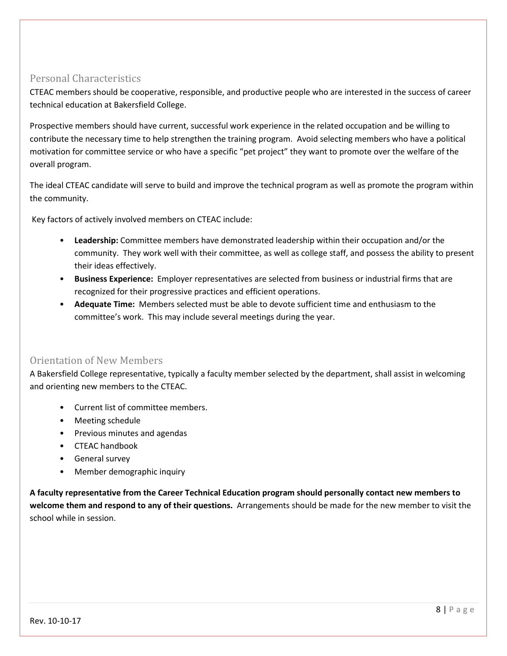#### Personal Characteristics

CTEAC members should be cooperative, responsible, and productive people who are interested in the success of career technical education at Bakersfield College.

Prospective members should have current, successful work experience in the related occupation and be willing to contribute the necessary time to help strengthen the training program. Avoid selecting members who have a political motivation for committee service or who have a specific "pet project" they want to promote over the welfare of the overall program.

The ideal CTEAC candidate will serve to build and improve the technical program as well as promote the program within the community.

Key factors of actively involved members on CTEAC include:

- **Leadership:** Committee members have demonstrated leadership within their occupation and/or the community. They work well with their committee, as well as college staff, and possess the ability to present their ideas effectively.
- **Business Experience:** Employer representatives are selected from business or industrial firms that are recognized for their progressive practices and efficient operations.
- **Adequate Time:** Members selected must be able to devote sufficient time and enthusiasm to the committee's work. This may include several meetings during the year.

#### Orientation of New Members

A Bakersfield College representative, typically a faculty member selected by the department, shall assist in welcoming and orienting new members to the CTEAC.

- Current list of committee members.
- Meeting schedule
- Previous minutes and agendas
- CTEAC handbook
- General survey
- Member demographic inquiry

**A faculty representative from the Career Technical Education program should personally contact new members to welcome them and respond to any of their questions.** Arrangements should be made for the new member to visit the school while in session.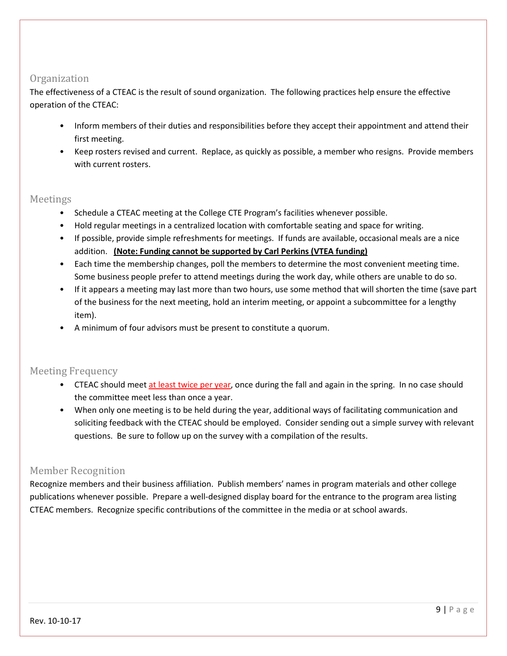#### **Organization**

The effectiveness of a CTEAC is the result of sound organization. The following practices help ensure the effective operation of the CTEAC:

- Inform members of their duties and responsibilities before they accept their appointment and attend their first meeting.
- Keep rosters revised and current. Replace, as quickly as possible, a member who resigns. Provide members with current rosters.

#### Meetings

- Schedule a CTEAC meeting at the College CTE Program's facilities whenever possible.
- Hold regular meetings in a centralized location with comfortable seating and space for writing.
- If possible, provide simple refreshments for meetings. If funds are available, occasional meals are a nice addition. **(Note: Funding cannot be supported by Carl Perkins (VTEA funding)**
- Each time the membership changes, poll the members to determine the most convenient meeting time. Some business people prefer to attend meetings during the work day, while others are unable to do so.
- If it appears a meeting may last more than two hours, use some method that will shorten the time (save part of the business for the next meeting, hold an interim meeting, or appoint a subcommittee for a lengthy item).
- A minimum of four advisors must be present to constitute a quorum.

#### Meeting Frequency

- CTEAC should meet at least twice per year, once during the fall and again in the spring. In no case should the committee meet less than once a year.
- When only one meeting is to be held during the year, additional ways of facilitating communication and soliciting feedback with the CTEAC should be employed. Consider sending out a simple survey with relevant questions. Be sure to follow up on the survey with a compilation of the results.

#### Member Recognition

Recognize members and their business affiliation. Publish members' names in program materials and other college publications whenever possible. Prepare a well-designed display board for the entrance to the program area listing CTEAC members. Recognize specific contributions of the committee in the media or at school awards.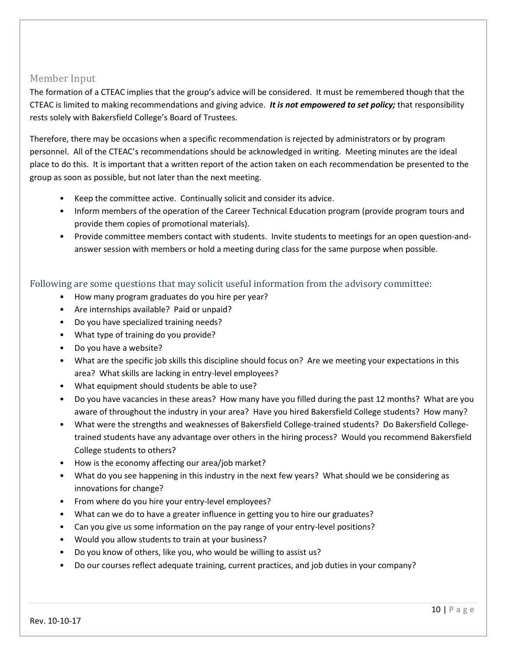#### Member Input

The formation of a CTEAC implies that the group's advice will be considered. It must be remembered though that the CTEAC is limited to making recommendations and giving advice. *It is not empowered to set policy;* that responsibility rests solely with Bakersfield College's Board of Trustees.

Therefore, there may be occasions when a specific recommendation is rejected by administrators or by program personnel. All of the CTEAC's recommendations should be acknowledged in writing. Meeting minutes are the ideal place to do this. It is important that a written report of the action taken on each recommendation be presented to the group as soon as possible, but not later than the next meeting.

- Keep the committee active. Continually solicit and consider its advice.
- Inform members of the operation of the Career Technical Education program (provide program tours and provide them copies of promotional materials).
- Provide committee members contact with students. Invite students to meetings for an open question-andanswer session with members or hold a meeting during class for the same purpose when possible.

#### Following are some questions that may solicit useful information from the advisory committee:

- How many program graduates do you hire per year?
- Are internships available? Paid or unpaid?
- Do you have specialized training needs?
- What type of training do you provide?
- Do you have a website?
- What are the specific job skills this discipline should focus on? Are we meeting your expectations in this area? What skills are lacking in entry-level employees?
- What equipment should students be able to use?
- Do you have vacancies in these areas? How many have you filled during the past 12 months? What are you aware of throughout the industry in your area? Have you hired Bakersfield College students? How many?
- What were the strengths and weaknesses of Bakersfield College-trained students? Do Bakersfield Collegetrained students have any advantage over others in the hiring process? Would you recommend Bakersfield College students to others?
- How is the economy affecting our area/job market?
- What do you see happening in this industry in the next few years? What should we be considering as innovations for change?
- From where do you hire your entry-level employees?
- What can we do to have a greater influence in getting you to hire our graduates?
- Can you give us some information on the pay range of your entry-level positions?
- Would you allow students to train at your business?
- Do you know of others, like you, who would be willing to assist us?
- Do our courses reflect adequate training, current practices, and job duties in your company?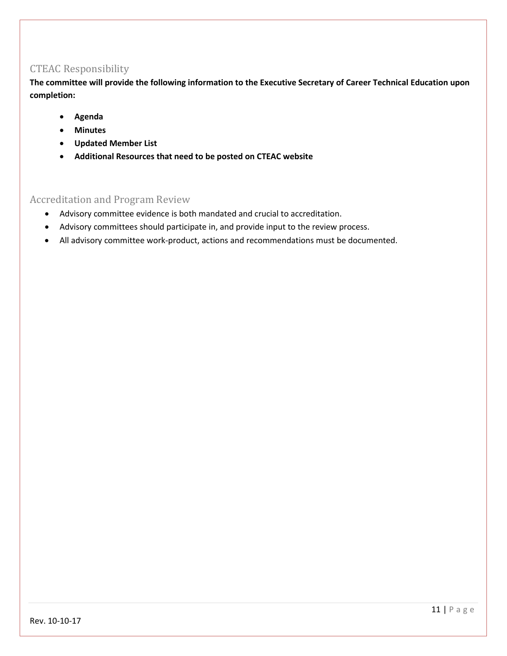#### CTEAC Responsibility

**The committee will provide the following information to the Executive Secretary of Career Technical Education upon completion:**

- **Agenda**
- **Minutes**
- **Updated Member List**
- **Additional Resources that need to be posted on CTEAC website**

#### Accreditation and Program Review

- Advisory committee evidence is both mandated and crucial to accreditation.
- Advisory committees should participate in, and provide input to the review process.
- All advisory committee work-product, actions and recommendations must be documented.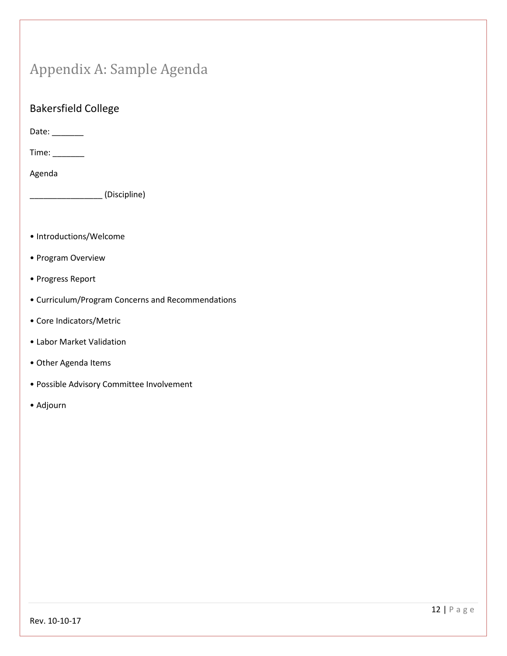## Appendix A: Sample Agenda

#### Bakersfield College

Date: \_\_\_\_\_\_\_\_

Time: \_\_\_\_\_\_\_

Agenda

\_\_\_\_\_\_\_\_\_\_\_\_\_\_\_\_ (Discipline)

- Introductions/Welcome
- Program Overview
- Progress Report
- Curriculum/Program Concerns and Recommendations
- Core Indicators/Metric
- Labor Market Validation
- Other Agenda Items
- Possible Advisory Committee Involvement
- Adjourn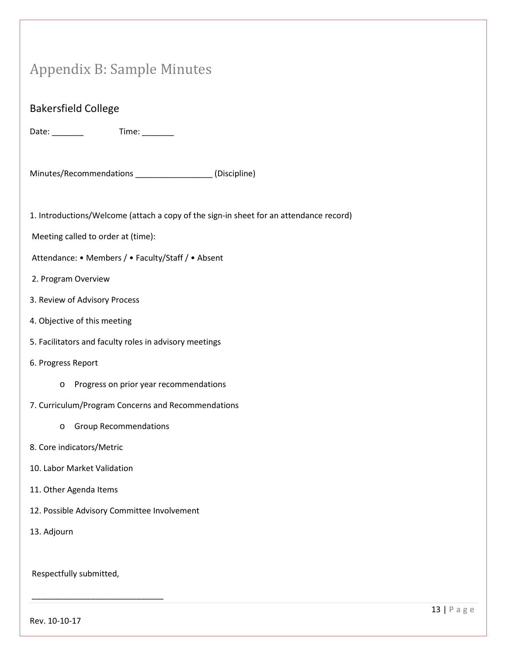# Appendix B: Sample Minutes

| <b>Bakersfield College</b>                                                             |
|----------------------------------------------------------------------------------------|
| Date: ________                                                                         |
| Minutes/Recommendations ___________________(Discipline)                                |
| 1. Introductions/Welcome (attach a copy of the sign-in sheet for an attendance record) |
| Meeting called to order at (time):                                                     |
| Attendance: • Members / • Faculty/Staff / • Absent                                     |
| 2. Program Overview                                                                    |
| 3. Review of Advisory Process                                                          |
| 4. Objective of this meeting                                                           |
| 5. Facilitators and faculty roles in advisory meetings                                 |
| 6. Progress Report                                                                     |
| Progress on prior year recommendations<br>O                                            |
| 7. Curriculum/Program Concerns and Recommendations                                     |
| <b>Group Recommendations</b><br>O                                                      |
| 8. Core indicators/Metric                                                              |
| 10. Labor Market Validation                                                            |
| 11. Other Agenda Items                                                                 |
| 12. Possible Advisory Committee Involvement                                            |
| 13. Adjourn                                                                            |
| Respectfully submitted,                                                                |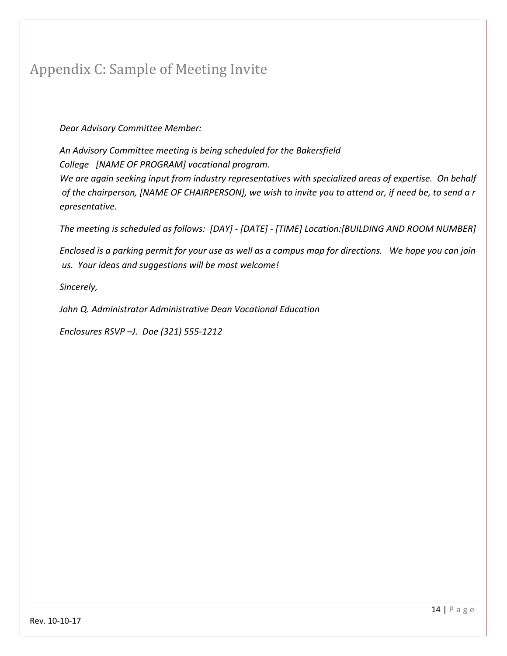## Appendix C: Sample of Meeting Invite

#### *Dear Advisory Committee Member:*

*An Advisory Committee meeting is being scheduled for the Bakersfield College [NAME OF PROGRAM] vocational program.* 

*We are again seeking input from industry representatives with specialized areas of expertise. On behalf* of the chairperson, [NAME OF CHAIRPERSON], we wish to invite you to attend or, if need be, to send a r *epresentative.*

*The meeting is scheduled as follows: [DAY] - [DATE] - [TIME] Location:[BUILDING AND ROOM NUMBER]*

Enclosed is a parking permit for your use as well as a campus map for directions. We hope you can join *us. Your ideas and suggestions will be most welcome!*

*Sincerely,*

*John Q. Administrator Administrative Dean Vocational Education*

*Enclosures RSVP –J. Doe (321) 555-1212*